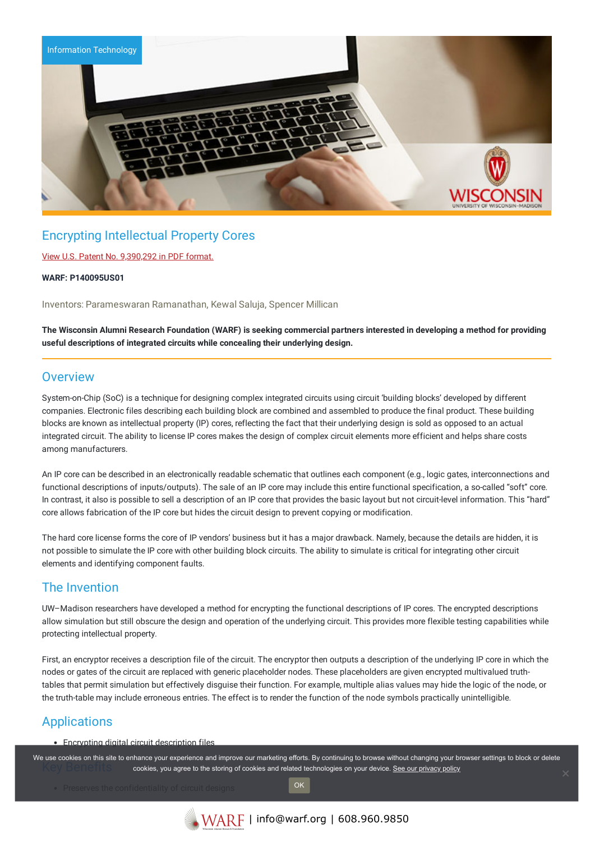

# Encrypting Intellectual Property Cores

### View U.S. Patent No. [9,390,292](https://www.warf.org/wp-content/uploads/technologies/ipstatus/P140095US01.PDF) in PDF format.

#### **WARF: P140095US01**

Inventors: Parameswaran Ramanathan, Kewal Saluja, Spencer Millican

The Wisconsin Alumni Research Foundation (WARF) is seeking commercial partners interested in developing a method for providing **useful descriptions of integrated circuits while concealing their underlying design.**

### **Overview**

System-on-Chip (SoC) is a technique for designing complex integrated circuits using circuit 'building blocks' developed by different companies. Electronic files describing each building block are combined and assembled to produce the final product. These building blocks are known as intellectual property (IP) cores, reflecting the fact that their underlying design is sold as opposed to an actual integrated circuit. The ability to license IP cores makes the design of complex circuit elements more efficient and helps share costs among manufacturers.

An IP core can be described in an electronically readable schematic that outlines each component (e.g., logic gates, interconnections and functional descriptions of inputs/outputs). The sale of an IP core may include this entire functional specification, a so-called "soft" core. In contrast, it also is possible to sell a description of an IP core that provides the basic layout but not circuit-level information. This "hard" core allows fabrication of the IP core but hides the circuit design to prevent copying or modification.

The hard core license forms the core of IP vendors' business but it has a major drawback. Namely, because the details are hidden, it is not possible to simulate the IP core with other building block circuits. The ability to simulate is critical for integrating other circuit elements and identifying component faults.

## The Invention

UW–Madison researchers have developed a method for encrypting the functional descriptions of IP cores. The encrypted descriptions allow simulation but still obscure the design and operation of the underlying circuit. This provides more flexible testing capabilities while protecting intellectual property.

First, an encryptor receives a description file of the circuit. The encryptor then outputs a description of the underlying IP core in which the nodes or gates of the circuit are replaced with generic placeholder nodes. These placeholders are given encrypted multivalued truthtables that permit simulation but effectively disguise their function. For example, multiple alias values may hide the logic of the node, or the truth-table may include erroneous entries. The effect is to render the function of the node symbols practically unintelligible.

# Applications

• Encrypting digital circuit description files

We use cookies on this site to enhance your experience and improve our marketing efforts. By continuing to browse without changing your browser settings to block or delete cookies, you agree to the storing of cookies and related technologies on your device. [See our privacy policy](https://www.warf.org/privacy-policy/)

OK